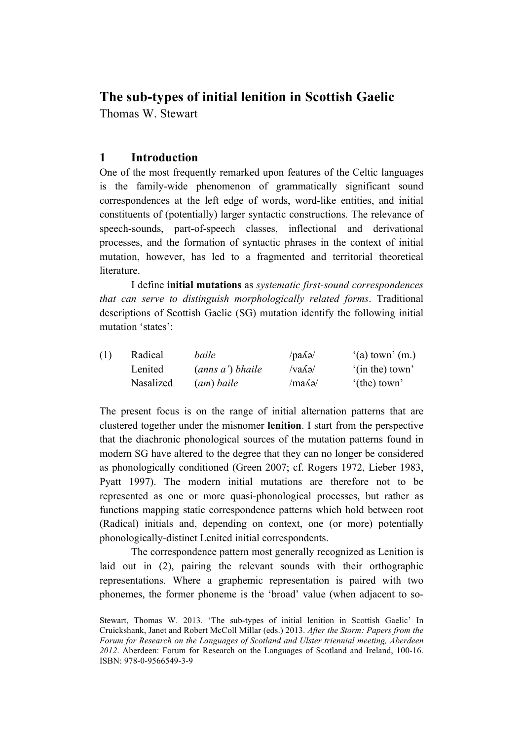# **The sub-types of initial lenition in Scottish Gaelic**

Thomas W. Stewart

## **1 Introduction**

One of the most frequently remarked upon features of the Celtic languages is the family-wide phenomenon of grammatically significant sound correspondences at the left edge of words, word-like entities, and initial constituents of (potentially) larger syntactic constructions. The relevance of speech-sounds, part-of-speech classes, inflectional and derivational processes, and the formation of syntactic phrases in the context of initial mutation, however, has led to a fragmented and territorial theoretical literature.

I define **initial mutations** as *systematic first-sound correspondences that can serve to distinguish morphologically related forms*. Traditional descriptions of Scottish Gaelic (SG) mutation identify the following initial mutation 'states':

| Radical   | baile            | $\alpha$ ang        | $'(a)$ town' $(m.)$    |
|-----------|------------------|---------------------|------------------------|
| Lenited   | (anns a') bhaile | $\sqrt{v}a\sqrt{a}$ | '(in the) town'        |
| Nasalized | (am) baile       | $/ma\lambda$ ə $/$  | $^{\circ}$ (the) town' |

The present focus is on the range of initial alternation patterns that are clustered together under the misnomer **lenition**. I start from the perspective that the diachronic phonological sources of the mutation patterns found in modern SG have altered to the degree that they can no longer be considered as phonologically conditioned (Green 2007; cf. Rogers 1972, Lieber 1983, Pyatt 1997). The modern initial mutations are therefore not to be represented as one or more quasi-phonological processes, but rather as functions mapping static correspondence patterns which hold between root (Radical) initials and, depending on context, one (or more) potentially phonologically-distinct Lenited initial correspondents.

The correspondence pattern most generally recognized as Lenition is laid out in (2), pairing the relevant sounds with their orthographic representations. Where a graphemic representation is paired with two phonemes, the former phoneme is the 'broad' value (when adjacent to so-

Stewart, Thomas W. 2013. 'The sub-types of initial lenition in Scottish Gaelic' In Cruickshank, Janet and Robert McColl Millar (eds.) 2013. *After the Storm: Papers from the Forum for Research on the Languages of Scotland and Ulster triennial meeting, Aberdeen 2012*. Aberdeen: Forum for Research on the Languages of Scotland and Ireland, 100-16. ISBN: 978-0-9566549-3-9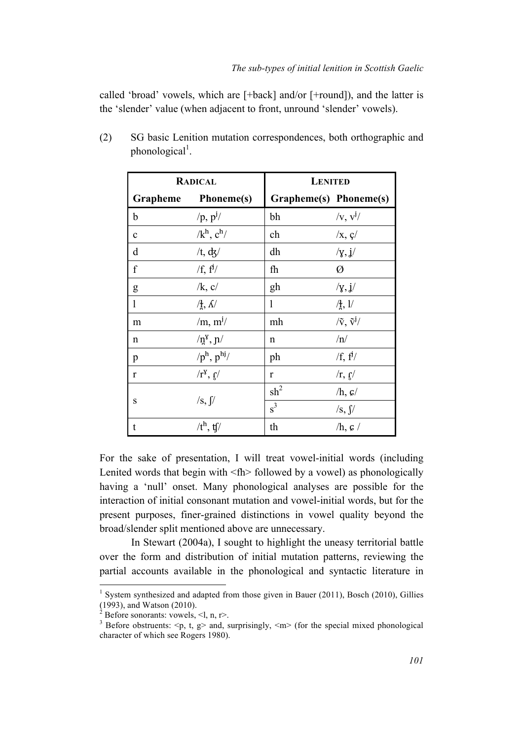called 'broad' vowels, which are [+back] and/or [+round]), and the latter is the 'slender' value (when adjacent to front, unround 'slender' vowels).

|                  | <b>RADICAL</b>                                        | <b>LENITED</b>         |                                      |  |  |  |  |  |
|------------------|-------------------------------------------------------|------------------------|--------------------------------------|--|--|--|--|--|
|                  | Grapheme Phoneme(s)                                   | Grapheme(s) Phoneme(s) |                                      |  |  |  |  |  |
| b                | $/p, p^j/$                                            | bh                     | $/v, v^j/$                           |  |  |  |  |  |
| $\mathbf c$      | $/k^h$ , $c^h$ /                                      | ch                     | $\sqrt{x}$ , $\frac{c}{ }$           |  |  |  |  |  |
| d                | /t, $\mathrm{d}z$ /                                   | dh                     | /y, j/                               |  |  |  |  |  |
| $\boldsymbol{f}$ | /f, f <sup>j</sup> /                                  | fh                     | Ø                                    |  |  |  |  |  |
| $\mathbf{g}$     | $/k$ , c/                                             | gh                     | /y, j/                               |  |  |  |  |  |
| $\mathbf{1}$     | $/ \frac{1}{2}$ , $\Lambda$                           | 1                      | $/$ <sup>1</sup> / <sub>1</sub> , 1/ |  |  |  |  |  |
| m                | $\rm/m, m^{j}/$                                       | mh                     | $/\tilde{v}, \tilde{v}^j/$           |  |  |  |  |  |
| n                | $\ln^8$ , $\ln$                                       | n                      | /n/                                  |  |  |  |  |  |
| p                | $/p^h$ , $p^{hj}/$                                    | ph                     | $/f, f^j/$                           |  |  |  |  |  |
| $\mathbf{r}$     | $\sqrt{\mathbf{r}^{\mathbf{y}}}, \mathbf{r}^{\prime}$ | $\mathbf{r}$           | /r, g/                               |  |  |  |  |  |
|                  |                                                       | $\mathrm{sh}^2$        | $/h, \, \mathcal{G}/$                |  |  |  |  |  |
| S                | $\sqrt{s}$ , $\int$                                   | $s^3$                  | $\sqrt{s}$ , $\sqrt{s}$              |  |  |  |  |  |
| t                | / $t^h$ , tf/                                         | th                     | $/h, \mathfrak{s}$ /                 |  |  |  |  |  |

(2) SG basic Lenition mutation correspondences, both orthographic and phonological<sup>1</sup>.

For the sake of presentation, I will treat vowel-initial words (including Lenited words that begin with  $\langle fh \rangle$  followed by a vowel) as phonologically having a 'null' onset. Many phonological analyses are possible for the interaction of initial consonant mutation and vowel-initial words, but for the present purposes, finer-grained distinctions in vowel quality beyond the broad/slender split mentioned above are unnecessary.

In Stewart (2004a), I sought to highlight the uneasy territorial battle over the form and distribution of initial mutation patterns, reviewing the partial accounts available in the phonological and syntactic literature in

 

<sup>&</sup>lt;sup>1</sup> System synthesized and adapted from those given in Bauer (2011), Bosch (2010), Gillies (1993), and Watson (2010).

<sup>&</sup>lt;sup>2</sup> Before sonorants: vowels, <l, n, r>.<br><sup>3</sup> Before obstruents: <n, t, q> and, s

Before obstruents:  $\langle p, t, g \rangle$  and, surprisingly,  $\langle m \rangle$  (for the special mixed phonological character of which see Rogers 1980).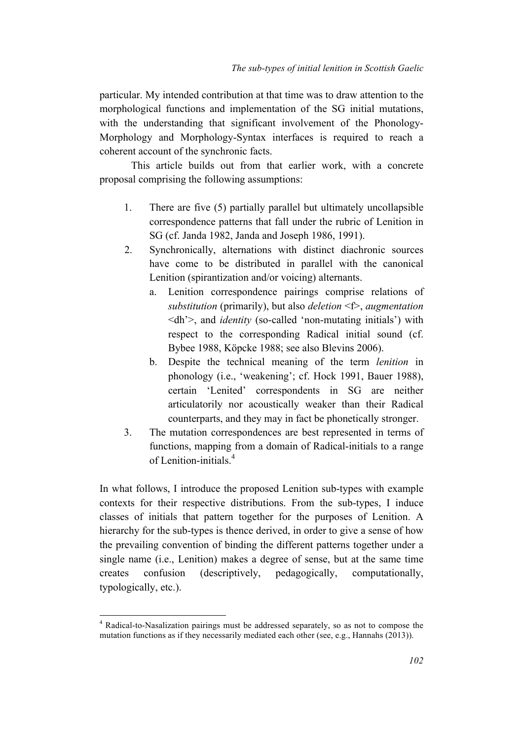particular. My intended contribution at that time was to draw attention to the morphological functions and implementation of the SG initial mutations, with the understanding that significant involvement of the Phonology-Morphology and Morphology-Syntax interfaces is required to reach a coherent account of the synchronic facts.

This article builds out from that earlier work, with a concrete proposal comprising the following assumptions:

- 1. There are five (5) partially parallel but ultimately uncollapsible correspondence patterns that fall under the rubric of Lenition in SG (cf. Janda 1982, Janda and Joseph 1986, 1991).
- 2. Synchronically, alternations with distinct diachronic sources have come to be distributed in parallel with the canonical Lenition (spirantization and/or voicing) alternants.
	- a. Lenition correspondence pairings comprise relations of *substitution* (primarily), but also *deletion* <f>, *augmentation* <dh'>, and *identity* (so-called 'non-mutating initials') with respect to the corresponding Radical initial sound (cf. Bybee 1988, Köpcke 1988; see also Blevins 2006).
	- b. Despite the technical meaning of the term *lenition* in phonology (i.e., 'weakening'; cf. Hock 1991, Bauer 1988), certain 'Lenited' correspondents in SG are neither articulatorily nor acoustically weaker than their Radical counterparts, and they may in fact be phonetically stronger.
- 3. The mutation correspondences are best represented in terms of functions, mapping from a domain of Radical-initials to a range of Lenition-initials.<sup>4</sup>

In what follows, I introduce the proposed Lenition sub-types with example contexts for their respective distributions. From the sub-types, I induce classes of initials that pattern together for the purposes of Lenition. A hierarchy for the sub-types is thence derived, in order to give a sense of how the prevailing convention of binding the different patterns together under a single name (i.e., Lenition) makes a degree of sense, but at the same time creates confusion (descriptively, pedagogically, computationally, typologically, etc.).

<u> 1989 - Jan Samuel Barbara, político establecido de la provincia de la provincia de la provincia de la provinci</u>

<sup>4</sup> Radical-to-Nasalization pairings must be addressed separately, so as not to compose the mutation functions as if they necessarily mediated each other (see, e.g., Hannahs (2013)).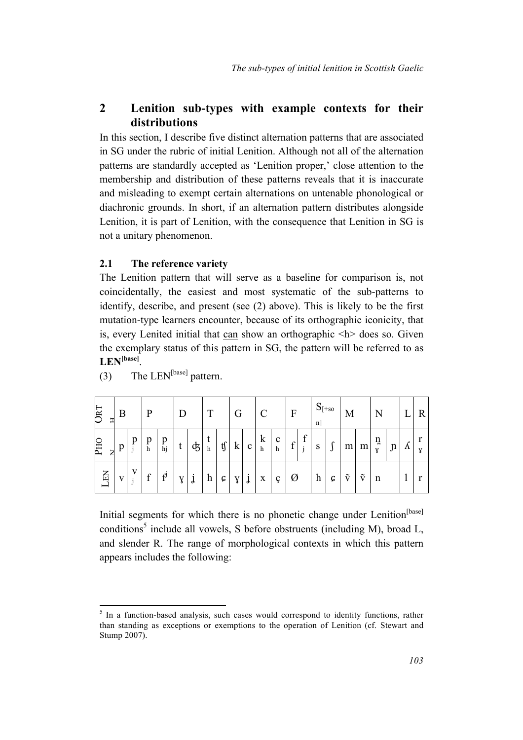## **2 Lenition sub-types with example contexts for their distributions**

In this section, I describe five distinct alternation patterns that are associated in SG under the rubric of initial Lenition. Although not all of the alternation patterns are standardly accepted as 'Lenition proper,' close attention to the membership and distribution of these patterns reveals that it is inaccurate and misleading to exempt certain alternations on untenable phonological or diachronic grounds. In short, if an alternation pattern distributes alongside Lenition, it is part of Lenition, with the consequence that Lenition in SG is not a unitary phenomenon.

### **2.1 The reference variety**

The Lenition pattern that will serve as a baseline for comparison is, not coincidentally, the easiest and most systematic of the sub-patterns to identify, describe, and present (see (2) above). This is likely to be the first mutation-type learners encounter, because of its orthographic iconicity, that is, every Lenited initial that can show an orthographic  $\langle h \rangle$  does so. Given the exemplary status of this pattern in SG, the pattern will be referred to as **LEN[base]**.

| <b>URT</b><br>H             | B |   | $\mathbf{P}$       |                                             | D |   |        |                              | G       |              | $\mathcal{C}$           |                  | $\mathbf{F}$ |        | $S_{[+so]}$<br>$n$ ] |                    | M                    |                      | N                 |              |   | R <sub>1</sub> |
|-----------------------------|---|---|--------------------|---------------------------------------------|---|---|--------|------------------------------|---------|--------------|-------------------------|------------------|--------------|--------|----------------------|--------------------|----------------------|----------------------|-------------------|--------------|---|----------------|
| <b>PHO</b><br>$\frac{1}{2}$ | p | p | $_{\rm h}^{\rm p}$ | $\mathop{p}\limits_{\hbox{\scriptsize hj}}$ | t | ф | t<br>h | $\mathfrak{t}\!\mathfrak{f}$ | $\bf k$ | $\mathbf{c}$ | $\bf k$<br>$\mathbf{h}$ | $\mathbf c$<br>h | f            | f<br>j | S                    | c<br>$\mathcal{L}$ |                      | $m$ $m$              | ņ<br>$\mathbf{y}$ | $\mathbf{u}$ | Λ | Y              |
| EN                          | V | V | f                  | $\mathbf{f}^{\text{I}}$                     | Y | Ĵ | h      | C                            | Y       | j            | $\mathbf X$             | Ç                | Ø            |        | $\boldsymbol{h}$     | Ç                  | $\tilde{\mathbf{v}}$ | $\tilde{\mathrm{v}}$ | n                 |              |   |                |

(3) The  $LEN^{[base]}$  pattern.

<u> 1989 - Jan Samuel Barbara, político establecido de la provincia de la provincia de la provincia de la provinci</u>

Initial segments for which there is no phonetic change under Lenition<sup>[base]</sup> conditions<sup>5</sup> include all vowels, S before obstruents (including M), broad L, and slender R. The range of morphological contexts in which this pattern appears includes the following:

 $5$  In a function-based analysis, such cases would correspond to identity functions, rather than standing as exceptions or exemptions to the operation of Lenition (cf. Stewart and Stump 2007).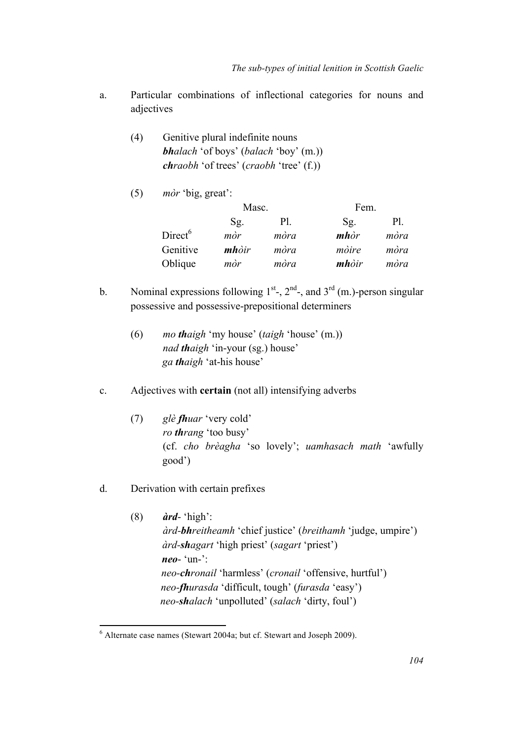- a. Particular combinations of inflectional categories for nouns and adjectives
	- (4) Genitive plural indefinite nouns *bhalach* 'of boys' (*balach* 'boy' (m.)) *chraobh* 'of trees' (*craobh* 'tree' (f.))
	- (5) *mòr* 'big, great':

|                     | Masc.                 |      | Fem.                         |      |
|---------------------|-----------------------|------|------------------------------|------|
|                     | Sg.                   | Pl.  | $Sg$ .                       | Pl.  |
| Direct <sup>6</sup> | mòr                   | mòra | $m$ <i>hòr</i>               | mòra |
| Genitive            | $\boldsymbol{m}$ hòir | mòra | mòire                        | mòra |
| Oblique             | mòr                   | mòra | $\boldsymbol{m}$ <i>hòir</i> | mòra |

- b. Nominal expressions following  $1<sup>st</sup>$ ,  $2<sup>nd</sup>$ , and  $3<sup>rd</sup>$  (m.)-person singular possessive and possessive-prepositional determiners
	- (6) *mo thaigh* 'my house' (*taigh* 'house' (m.)) *nad thaigh* 'in-your (sg.) house' *ga thaigh* 'at-his house'
- c. Adjectives with **certain** (not all) intensifying adverbs
	- (7) *glè fhuar* 'very cold' *ro thrang* 'too busy' (cf. *cho brèagha* 'so lovely'; *uamhasach math* 'awfully good')
- d. Derivation with certain prefixes

 

(8) *àrd*- 'high': *àrd-bhreitheamh* 'chief justice' (*breithamh* 'judge, umpire') *àrd-shagart* 'high priest' (*sagart* 'priest') *neo*- 'un-': *neo-chronail* 'harmless' (*cronail* 'offensive, hurtful') *neo-fhurasda* 'difficult, tough' (*furasda* 'easy') *neo-shalach* 'unpolluted' (*salach* 'dirty, foul')

 $6$  Alternate case names (Stewart 2004a; but cf. Stewart and Joseph 2009).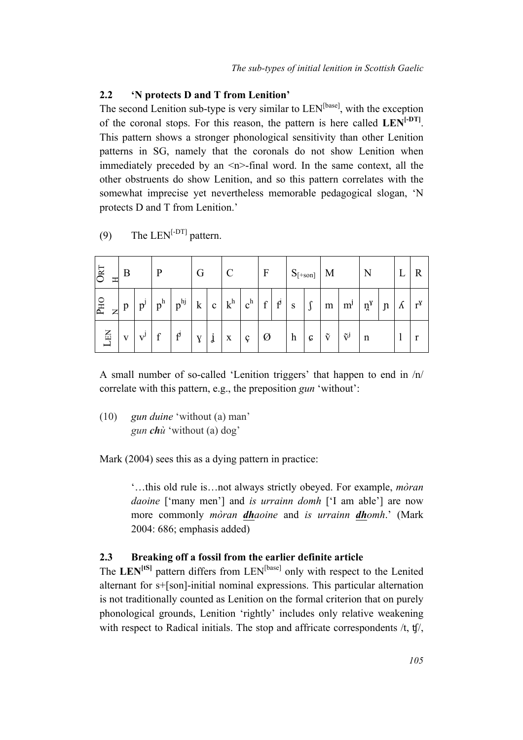#### **2.2 'N protects D and T from Lenition'**

The second Lenition sub-type is very similar to  $LEN^{[base]}$ , with the exception of the coronal stops. For this reason, the pattern is here called **LEN[-DT]**. This pattern shows a stronger phonological sensitivity than other Lenition patterns in SG, namely that the coronals do not show Lenition when immediately preceded by an  $\leq n$ -final word. In the same context, all the other obstruents do show Lenition, and so this pattern correlates with the somewhat imprecise yet nevertheless memorable pedagogical slogan, 'N protects D and T from Lenition.'

| <b>ORT</b><br>工     | B |                 |       |              | G           |              | $\mathcal{C}$ |       | $\boldsymbol{F}$ |                | $S_{[+son]}$ |        | $\mathbf{M}$         |                                   |              |               |   | $\mathbf R$  |
|---------------------|---|-----------------|-------|--------------|-------------|--------------|---------------|-------|------------------|----------------|--------------|--------|----------------------|-----------------------------------|--------------|---------------|---|--------------|
| PHO<br>$\mathbb{Z}$ | p | $\bullet$<br>p' | $p^h$ | $p^{hj}$     | $\mathbf k$ | $\mathbf{c}$ | $k^h$         | $c^h$ | $\mathbf f$      | $\mathbf{f}^j$ | S            | $\int$ | ${\bf m}$            | $m^{j}$                           | $n^{\gamma}$ | $\mathfrak n$ | Λ | $r^{\gamma}$ |
| $\overline{H}$      | V | V               |       | $f^{\prime}$ | Y           | Ĵ            | X             | ç     | Ø                |                | h            | c      | $\tilde{\mathbf{v}}$ | $\tilde{\mathrm{v}}^{\mathrm{j}}$ | n            |               |   |              |

(9) The LEN<sup>[-DT]</sup> pattern.

A small number of so-called 'Lenition triggers' that happen to end in /n/ correlate with this pattern, e.g., the preposition *gun* 'without':

(10) *gun duine* 'without (a) man' *gun chù* 'without (a) dog'

Mark (2004) sees this as a dying pattern in practice:

'…this old rule is…not always strictly obeyed. For example, *mòran daoine* ['many men'] and *is urrainn domh* ['I am able'] are now more commonly *mòran dhaoine* and *is urrainn dhomh*.' (Mark 2004: 686; emphasis added)

#### **2.3 Breaking off a fossil from the earlier definite article**

The LEN<sup>[tS]</sup> pattern differs from LEN<sup>[base]</sup> only with respect to the Lenited alternant for s+[son]-initial nominal expressions. This particular alternation is not traditionally counted as Lenition on the formal criterion that on purely phonological grounds, Lenition 'rightly' includes only relative weakening with respect to Radical initials. The stop and affricate correspondents /t, tf/,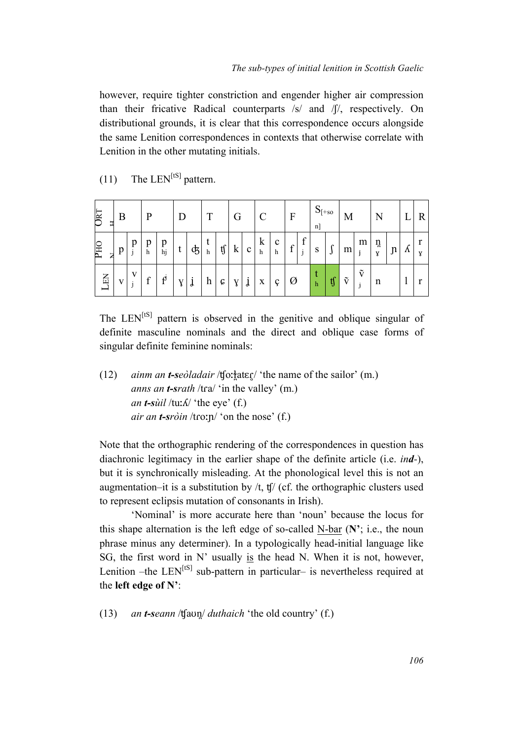however, require tighter constriction and engender higher air compression than their fricative Radical counterparts /s/ and /ʃ/, respectively. On distributional grounds, it is clear that this correspondence occurs alongside the same Lenition correspondences in contexts that otherwise correlate with Lenition in the other mutating initials.

| <b>URT</b><br>Ξ                  | B |              | P                                           |                                   | D |    | T |                  | G |             | $\mathcal{C}$ |        | $\mathbf{F}$     |                | $S_{[+so]}$<br>n] |        | M                    |                                      | N      |             |           |   |
|----------------------------------|---|--------------|---------------------------------------------|-----------------------------------|---|----|---|------------------|---|-------------|---------------|--------|------------------|----------------|-------------------|--------|----------------------|--------------------------------------|--------|-------------|-----------|---|
| <b>OHd</b><br>z                  | p | p            | $\mathop{\mathrm{p}}\nolimits_{\mathrm{h}}$ | p<br>hj                           | ι | ¢5 | h | $\epsilon$<br>tj | k | $\mathbf c$ | k<br>h        | c<br>h | $\boldsymbol{f}$ | c<br>$\bullet$ | S                 | Λ<br>J | m                    | m<br>$\ddot{i}$                      | ņ<br>Y | $\mathbf n$ | $\Lambda$ | v |
| $\mathbf{L}\mathbf{E}\mathbf{N}$ | V | $\mathbf{V}$ | $\mathbf f$                                 | $\bullet$<br>$\boldsymbol{\beta}$ | ٥ | J  | h | c                |   | ٠<br>Ĵ      | X             | ç      | Ø                |                | h                 | ij     | $\tilde{\mathrm{v}}$ | $\tilde{\mathrm{v}}$<br>$\mathbf{i}$ | n      |             |           |   |

 $(11)$  The LEN<sup>[tS]</sup> pattern.

The LEN<sup>[tS]</sup> pattern is observed in the genitive and oblique singular of definite masculine nominals and the direct and oblique case forms of singular definite feminine nominals:

(12) *ainm an t-seòladair* /ʧoːɫ̪atɛɾ̥/ 'the name of the sailor' (m.) *anns an t-srath* /tɾa/ 'in the valley' (m.) *an t-sùil* /tuː $\Lambda$ / 'the eye' (f.) *air an t-sròin* /tɾoːɲ/ 'on the nose' (f.)

Note that the orthographic rendering of the correspondences in question has diachronic legitimacy in the earlier shape of the definite article (i.e. *ind-*), but it is synchronically misleading. At the phonological level this is not an augmentation–it is a substitution by  $/t$ ,  $tf/$  (cf. the orthographic clusters used to represent eclipsis mutation of consonants in Irish).

'Nominal' is more accurate here than 'noun' because the locus for this shape alternation is the left edge of so-called N-bar (**N'**; i.e., the noun phrase minus any determiner). In a typologically head-initial language like SG, the first word in N' usually is the head N. When it is not, however, Lenition –the LEN<sup>[tS]</sup> sub-pattern in particular– is nevertheless required at the **left edge of N'**:

(13) *an t-seann* /ʧaʊn̪/ *duthaich* 'the old country' (f.)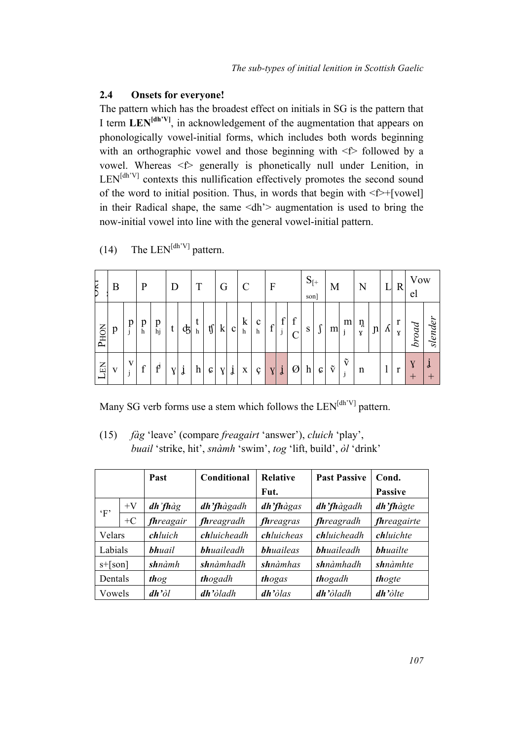#### **2.4 Onsets for everyone!**

The pattern which has the broadest effect on initials in SG is the pattern that I term **LEN[dh'V]**, in acknowledgement of the augmentation that appears on phonologically vowel-initial forms, which includes both words beginning with an orthographic vowel and those beginning with  $\leq$  followed by a vowel. Whereas <f> generally is phonetically null under Lenition, in  $LEN<sup>[dh'V]</sup>$  contexts this nullification effectively promotes the second sound of the word to initial position. Thus, in words that begin with <f>+[vowel] in their Radical shape, the same  $\langle dh \rangle$  augmentation is used to bring the now-initial vowel into line with the general vowel-initial pattern.

| UКI         | B |              | P      |                                   | D              |    | T |    | G       |              | C      |                   | $\boldsymbol{F}$ |                               |   | $S_{[+]}$<br>son]         |                            | М                    |                           | N      |                     |   | R      | Vow<br>el |              |
|-------------|---|--------------|--------|-----------------------------------|----------------|----|---|----|---------|--------------|--------|-------------------|------------------|-------------------------------|---|---------------------------|----------------------------|----------------------|---------------------------|--------|---------------------|---|--------|-----------|--------------|
| <b>PHON</b> | p | p            | p<br>h | p<br>hj                           | t              | ക് | h | tſ | $\bf k$ | $\mathbf{c}$ | k<br>h | $\mathbf{c}$<br>h | $\mathbf f$      | c<br>٠<br>$\blacksquare$<br>J | f | S                         | r<br>J                     | m                    | m<br>j                    | ņ<br>Y | $\lfloor n \rfloor$ | Λ | r<br>Y | broad     | slender      |
| LEN         | V | V<br>$\cdot$ | f      | $\bullet$<br>$\boldsymbol{\beta}$ | $Y_{\text{I}}$ | j  | h | c  | Y       | ٠<br>j       | X      | ç                 | $\mathbf{V}$     | $\mathbf{j}$                  | Ø | $\boldsymbol{\mathrm{h}}$ | $\boldsymbol{\mathcal{G}}$ | $\tilde{\mathbf{v}}$ | $\tilde{\mathbf{v}}$<br>j | n      |                     |   |        | ┿         | $\mathbf{r}$ |

(14) The LEN<sup>[dh'V]</sup> pattern.

Many SG verb forms use a stem which follows the  $LEN<sup>[dh'V]</sup>$  pattern.

(15) *fàg* 'leave' (compare *freagairt* 'answer'), *cluich* 'play', *buail* 'strike, hit', *snàmh* 'swim', *tog* 'lift, build', *òl* 'drink'

|             |      | Past             | Conditional        | <b>Relative</b>  | <b>Past Passive</b> | Cond.              |
|-------------|------|------------------|--------------------|------------------|---------------------|--------------------|
|             |      |                  |                    | Fut.             |                     | <b>Passive</b>     |
| $\lq F$     | $+V$ | dh'fhàg          | dh'fhàgadh         | dh'fhàgas        | dh'fhàgadh          | dh'fhàgte          |
|             | $+C$ | fhreagair        | <i>fhreagradh</i>  | <i>fhreagras</i> | fhreagradh          | <i>fhreagairte</i> |
| Velars      |      | chluich          | <b>chluicheadh</b> | chluicheas       | chluicheadh         | chluichte          |
| Labials     |      | <b>bhuail</b>    | <b>bhuaileadh</b>  | <b>bhuaileas</b> | <b>bhuaileadh</b>   | <b>bhuailte</b>    |
| $s + [son]$ |      | shnàmh           | <b>sh</b> nàmhadh  | <b>sh</b> nàmhas | <b>sh</b> nàmhadh   | <b>sh</b> nàmhte   |
| Dentals     |      | thog             | thogadh            | thogas           | thogadh             | thogte             |
| Vowels      |      | $dh' \partial l$ | $dh'$ òladh        | $dh'$ òlas       | $dh$ 'òladh         | $dh$ 'òlte         |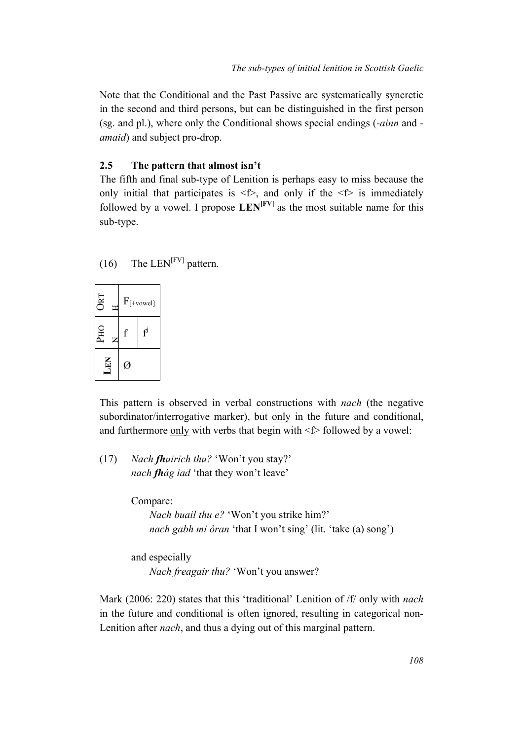Note that the Conditional and the Past Passive are systematically syncretic in the second and third persons, but can be distinguished in the first person (sg. and pl.), where only the Conditional shows special endings (-*ainn* and *amaid*) and subject pro-drop.

#### **2.5 The pattern that almost isn't**

The fifth and final sub-type of Lenition is perhaps easy to miss because the only initial that participates is  $\leq f$ , and only if the  $\leq f$  is immediately followed by a vowel. I propose  $\mathbf{LEN}^{[FV]}$  as the most suitable name for this sub-type.





This pattern is observed in verbal constructions with *nach* (the negative subordinator/interrogative marker), but only in the future and conditional, and furthermore only with verbs that begin with  $\leq$  followed by a vowel:

(17) *Nach fhuirich thu?* 'Won't you stay?' *nach fhág iad* 'that they won't leave'

Compare:

*Nach buail thu e?* 'Won't you strike him?' *nach gabh mi òran* 'that I won't sing' (lit. 'take (a) song')

and especially *Nach freagair thu?* 'Won't you answer?

Mark (2006: 220) states that this 'traditional' Lenition of /f/ only with *nach* in the future and conditional is often ignored, resulting in categorical non-Lenition after *nach*, and thus a dying out of this marginal pattern.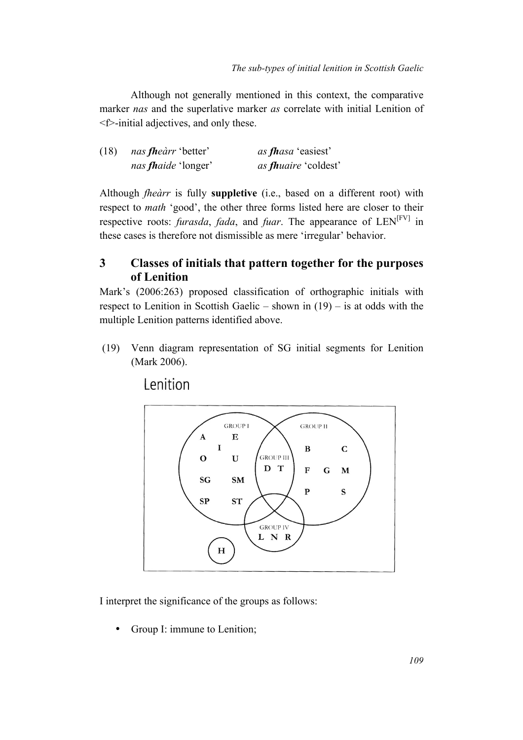Although not generally mentioned in this context, the comparative marker *nas* and the superlative marker *as* correlate with initial Lenition of <f>-initial adjectives, and only these.

| (18) | <i>nas fheàrr</i> 'better' | <i>as fhasa</i> 'easiest'   |
|------|----------------------------|-----------------------------|
|      | nas fhaide 'longer'        | as <i>fhuaire</i> 'coldest' |

Although *fheàrr* is fully **suppletive** (i.e., based on a different root) with respect to *math* 'good', the other three forms listed here are closer to their respective roots: *furasda*, *fada*, and *fuar*. The appearance of LEN<sup>[FV]</sup> in these cases is therefore not dismissible as mere 'irregular' behavior.

## **3 Classes of initials that pattern together for the purposes of Lenition**

Mark's (2006:263) proposed classification of orthographic initials with respect to Lenition in Scottish Gaelic – shown in  $(19)$  – is at odds with the multiple Lenition patterns identified above.

(19) Venn diagram representation of SG initial segments for Lenition (Mark 2006).

Lenition



I interpret the significance of the groups as follows:

Group I: immune to Lenition;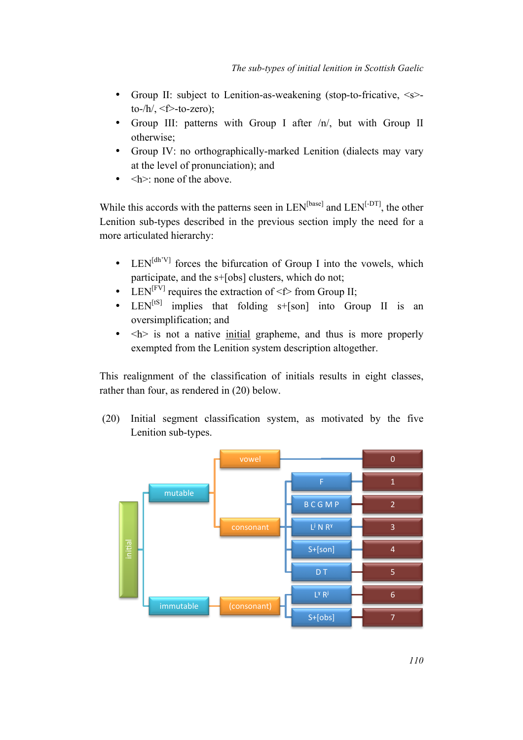- Group II: subject to Lenition-as-weakening (stop-to-fricative,  $\le s$ )to- $/h/$ ,  $\leq f$  -to-zero);
- Group III: patterns with Group I after  $/n/$ , but with Group II otherwise;
- Group IV: no orthographically-marked Lenition (dialects may vary at the level of pronunciation); and
- $\bullet \quad$  <h>: none of the above.

While this accords with the patterns seen in  $LEN^{[base]}$  and  $LEN^{[-DT]}$ , the other Lenition sub-types described in the previous section imply the need for a more articulated hierarchy:

- LEN<sup>[dh'V]</sup> forces the bifurcation of Group I into the vowels, which participate, and the s+[obs] clusters, which do not;
- LEN<sup>[FV]</sup> requires the extraction of  $\leq f$  from Group II;
- $LEN<sup>[tS]</sup>$  implies that folding  $s+[son]$  into Group II is an oversimplification; and
- $\bullet$   $\leq h$  is not a native initial grapheme, and thus is more properly exempted from the Lenition system description altogether.

This realignment of the classification of initials results in eight classes, rather than four, as rendered in (20) below.

(20) Initial segment classification system, as motivated by the five Lenition sub-types.

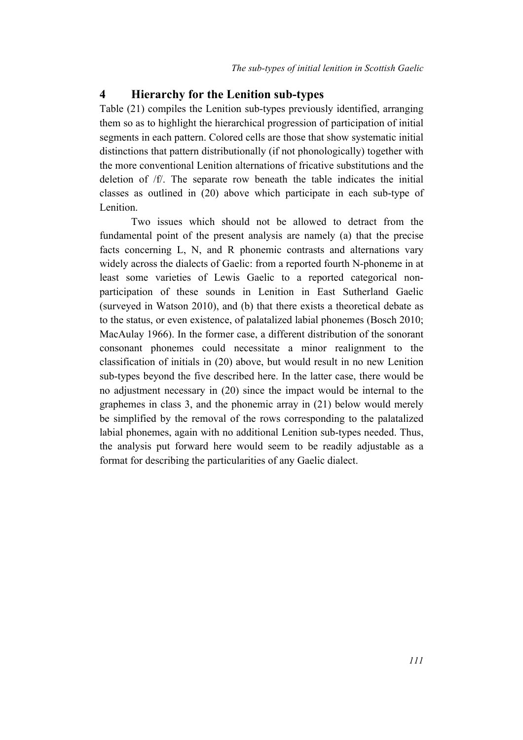### **4 Hierarchy for the Lenition sub-types**

Table (21) compiles the Lenition sub-types previously identified, arranging them so as to highlight the hierarchical progression of participation of initial segments in each pattern. Colored cells are those that show systematic initial distinctions that pattern distributionally (if not phonologically) together with the more conventional Lenition alternations of fricative substitutions and the deletion of /f/. The separate row beneath the table indicates the initial classes as outlined in (20) above which participate in each sub-type of Lenition.

Two issues which should not be allowed to detract from the fundamental point of the present analysis are namely (a) that the precise facts concerning L, N, and R phonemic contrasts and alternations vary widely across the dialects of Gaelic: from a reported fourth N-phoneme in at least some varieties of Lewis Gaelic to a reported categorical nonparticipation of these sounds in Lenition in East Sutherland Gaelic (surveyed in Watson 2010), and (b) that there exists a theoretical debate as to the status, or even existence, of palatalized labial phonemes (Bosch 2010; MacAulay 1966). In the former case, a different distribution of the sonorant consonant phonemes could necessitate a minor realignment to the classification of initials in (20) above, but would result in no new Lenition sub-types beyond the five described here. In the latter case, there would be no adjustment necessary in (20) since the impact would be internal to the graphemes in class 3, and the phonemic array in (21) below would merely be simplified by the removal of the rows corresponding to the palatalized labial phonemes, again with no additional Lenition sub-types needed. Thus, the analysis put forward here would seem to be readily adjustable as a format for describing the particularities of any Gaelic dialect.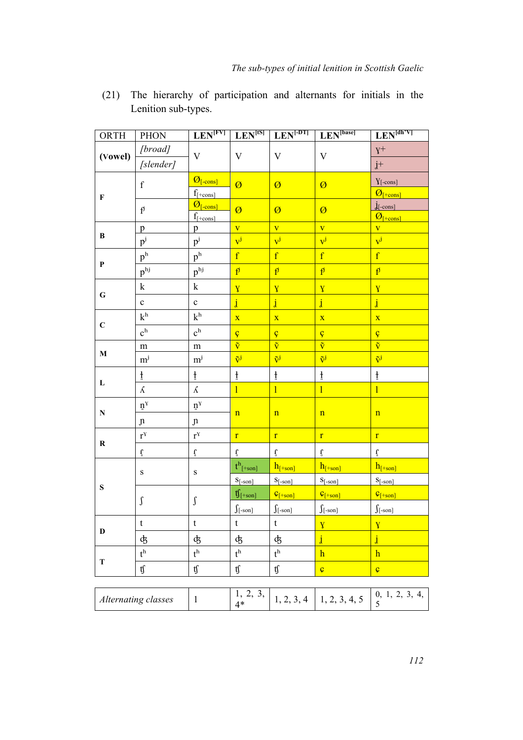| ORTH         | <b>PHON</b>               |                                    |                                   | $\overline{\text{LEN}^{\text{[FV]}}\mid \text{LEN}^{\text{[tS]}}\mid \text{LEN}^{\text{[DT]}}}$ | LEN <sup>[base]</sup>               | $\mathbf{LEN}^{[dh'V]}$                                           |
|--------------|---------------------------|------------------------------------|-----------------------------------|-------------------------------------------------------------------------------------------------|-------------------------------------|-------------------------------------------------------------------|
|              | [broad]                   | $\mathbf{V}$                       | $\mathbf{V}$                      | $\mathbf V$                                                                                     | $\mathbf V$                         | $\mathrm{V}^{+}$                                                  |
| (Vowel)      | [slender]                 |                                    |                                   |                                                                                                 |                                     | $\mathbf{j}^+$                                                    |
|              |                           | $\overline{O_{[-cons]}}$           | $\overline{\omega}$               |                                                                                                 |                                     | $Y[-cons]$                                                        |
| $\mathbf F$  | $\mathbf f$               | $f_{[+cons]}$                      |                                   | $\emptyset$                                                                                     | Ø                                   | $\overline{\mathcal{O}}_{\left[\frac{1}{1-\mathrm{cons}}\right]}$ |
|              | $\mathbf{f}^{\mathbf{j}}$ | $\overline{\mathcal{O}_{[-cons]}}$ | $\boldsymbol{\varnothing}$        | $\emptyset$                                                                                     | Ø                                   | $j_{\text{[-cons]}}$                                              |
|              |                           | $f_{\text{[+cons]}}$               |                                   |                                                                                                 |                                     | $\mathcal{O}_{[+\text{cons}]}$                                    |
| $\, {\bf B}$ | p                         | p                                  | $\overline{\mathbf{V}}$           | $\overline{\mathbf{V}}$<br>$v^j$                                                                | $\overline{\mathbf{V}}$             | $\overline{\mathbf{V}}$<br>$\overline{v}^j$                       |
|              | $p^{j}$                   | $p^{j}$                            | $\mathbf{v}^{\mathbf{j}}$         |                                                                                                 | $v^j$                               |                                                                   |
| $\mathbf{P}$ | $\mathbf{p}^\mathrm{h}$   | $\mathbf{p}^\mathrm{h}$            | $\mathbf{f}$                      | $\overline{\mathbf{f}}$                                                                         | $\overline{\mathrm{f}}$             | $\overline{\mathrm{f}}$                                           |
|              | $\mathbf{p}^{\text{hj}}$  | $p^{\rm hj}$                       | $\mathbf{f}^{\mathbf{j}}$         | $f^j$                                                                                           | $\mathbf{f}^{\mathbf{j}}$           | $f^j$                                                             |
| $\bf G$      | ${\bf k}$                 | ${\bf k}$                          | Y                                 | $\overline{Y}$                                                                                  | $\overline{Y}$                      | $\mathbf{V}$                                                      |
|              | $\mathbf c$               | $\mathbf c$                        | $\mathbf{j}$                      | $\mathbf{j}$                                                                                    | $\mathbf{j}$                        | $\mathbf{j}$                                                      |
|              | $\mathbf{k}^\mathrm{h}$   | $\mathbf{k}^\mathrm{h}$            | $\overline{\mathbf{X}}$           | $\bar{\mathbf{X}}$                                                                              | $\overline{\mathbf{X}}$             | $\overline{\mathbf{X}}$                                           |
| $\mathbf C$  | c <sup>h</sup>            | $\mathbf{c}^\mathbf{h}$            |                                   | ç                                                                                               |                                     | ç                                                                 |
|              | ${\rm m}$                 | ${\rm m}$                          | $rac{C}{\tilde{V}}$               | $\overline{\tilde{\mathbf{v}}}$                                                                 | $rac{c}{\tilde{v}}$                 | $\overline{\tilde{\mathbf{v}}}$                                   |
| $\mathbf M$  | $m^{j}$                   | $\mathbf{m}^{\textnormal{j}}$      | $\tilde{\mathrm{v}}^{\mathrm{j}}$ | $\tilde{\mathbf{v}}^{\mathbf{j}}$                                                               | $\tilde{\mathbf{v}}^{\mathbf{j}}$   | $\tilde{\mathbf{v}}^{\mathbf{j}}$                                 |
|              | ţ                         | $\frac{1}{4}$                      | $\frac{1}{4}$                     | $\frac{1}{4}$                                                                                   | $\ddagger$                          | $\frac{1}{4}$                                                     |
| L            | $\Lambda$                 | $\Lambda$                          | $\mathbf{1}$                      | $\mathbf{1}$                                                                                    | $\mathbf{1}$                        | $\mathbf{1}$                                                      |
|              | $\mathbf{n}^{\gamma}$     | $\mathbf{n}^{\gamma}$              |                                   |                                                                                                 |                                     |                                                                   |
| ${\bf N}$    | $\mathfrak n$             | $\mathfrak n$                      | $\mathbf n$                       | $\mathbf n$                                                                                     | $\mathbf n$                         | $\mathbf n$                                                       |
|              | $\mathbf{r}^{\text{Y}}$   | $\mathbf{r}^{\text{Y}}$            | $\mathbf{r}$                      | $\mathbf{r}$                                                                                    | $\mathbf{r}$                        | $\mathbf{r}$                                                      |
| $\mathbf R$  | $\mathbf{\hat{t}}$        | $\mathbf{\hat{t}}$                 | $\mathbf{t}$                      | $\vec{\mathbf{t}}$                                                                              | ť                                   | $\mathbf{\tilde{t}}$                                              |
|              | $\mathbf S$               | ${\bf S}$                          | $t^h_{\;[+son]}$                  | $h_{[+son]}$                                                                                    | $h_{[+son]}$                        | $h_{\lceil+son\rceil}$                                            |
| ${\bf S}$    |                           |                                    | $S$ [-son]                        | $S$ [-son]                                                                                      | $S$ [-son]                          | $S$ [-son]                                                        |
|              | $\int$                    | $\int$                             | $\mathfrak{t}$ [+son]             | $\mathcal{G}[\text{+son}]$                                                                      | $\mathcal{C}_{[+son]}$              | $C_{\left[\pm 80n\right]}$                                        |
|              |                           |                                    | $\int$ [-son]                     | $\int$ [-son]                                                                                   | $\int$ [-son]                       | $\int$ [-son]                                                     |
|              | $\mathbf t$               | $\mathbf t$                        | t                                 | t                                                                                               | X                                   |                                                                   |
| D            | ф                         | ф                                  | ф                                 | ф                                                                                               | $\mathbf{j}$                        | $\mathbf{j}$                                                      |
|              | $t^h$                     | $t^h$                              | $t^h$                             | $t^h$                                                                                           | $\mathbf{h}$                        | $\mathbf{h}$                                                      |
| $\mathbf T$  | tf                        | $\mathfrak{t}\!\mathfrak{f}$       | $\mathfrak{t}\!\mathfrak{f}$      | $\mathfrak{t}\!\mathfrak{f}$                                                                    | $\overline{\boldsymbol{\varsigma}}$ | $\boldsymbol{\varsigma}$                                          |
|              |                           |                                    |                                   |                                                                                                 |                                     |                                                                   |
|              | Alternating classes       | $\mathbf{1}$                       | 1, 2, 3,<br>$4*$                  | 1, 2, 3, 4                                                                                      | 1, 2, 3, 4, 5                       | 0, 1, 2, 3, 4,<br>5                                               |

(21) The hierarchy of participation and alternants for initials in the Lenition sub-types.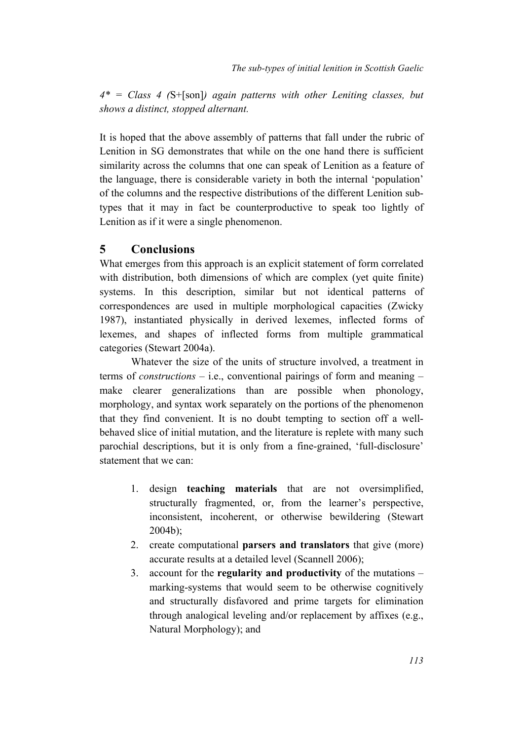*4\* = Class 4 (*S+[son]*) again patterns with other Leniting classes, but shows a distinct, stopped alternant.*

It is hoped that the above assembly of patterns that fall under the rubric of Lenition in SG demonstrates that while on the one hand there is sufficient similarity across the columns that one can speak of Lenition as a feature of the language, there is considerable variety in both the internal 'population' of the columns and the respective distributions of the different Lenition subtypes that it may in fact be counterproductive to speak too lightly of Lenition as if it were a single phenomenon.

#### **5 Conclusions**

What emerges from this approach is an explicit statement of form correlated with distribution, both dimensions of which are complex (yet quite finite) systems. In this description, similar but not identical patterns of correspondences are used in multiple morphological capacities (Zwicky 1987), instantiated physically in derived lexemes, inflected forms of lexemes, and shapes of inflected forms from multiple grammatical categories (Stewart 2004a).

Whatever the size of the units of structure involved, a treatment in terms of *constructions* – i.e., conventional pairings of form and meaning – make clearer generalizations than are possible when phonology, morphology, and syntax work separately on the portions of the phenomenon that they find convenient. It is no doubt tempting to section off a wellbehaved slice of initial mutation, and the literature is replete with many such parochial descriptions, but it is only from a fine-grained, 'full-disclosure' statement that we can:

- 1. design **teaching materials** that are not oversimplified, structurally fragmented, or, from the learner's perspective, inconsistent, incoherent, or otherwise bewildering (Stewart 2004b);
- 2. create computational **parsers and translators** that give (more) accurate results at a detailed level (Scannell 2006);
- 3. account for the **regularity and productivity** of the mutations marking-systems that would seem to be otherwise cognitively and structurally disfavored and prime targets for elimination through analogical leveling and/or replacement by affixes (e.g., Natural Morphology); and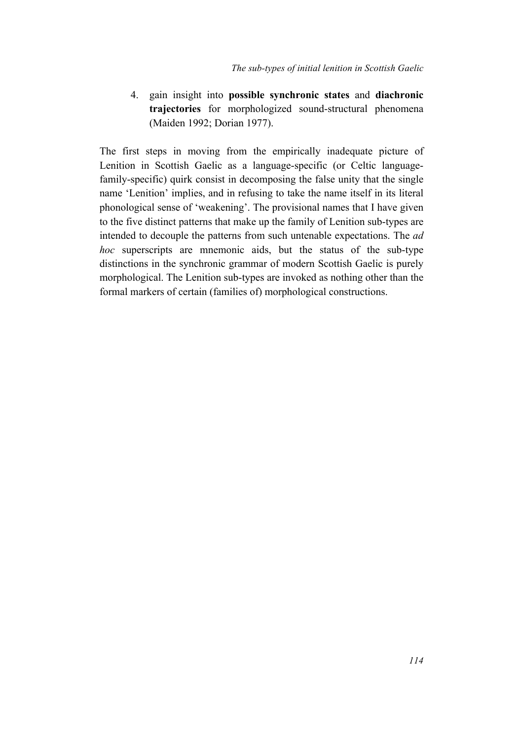4. gain insight into **possible synchronic states** and **diachronic trajectories** for morphologized sound-structural phenomena (Maiden 1992; Dorian 1977).

The first steps in moving from the empirically inadequate picture of Lenition in Scottish Gaelic as a language-specific (or Celtic languagefamily-specific) quirk consist in decomposing the false unity that the single name 'Lenition' implies, and in refusing to take the name itself in its literal phonological sense of 'weakening'. The provisional names that I have given to the five distinct patterns that make up the family of Lenition sub-types are intended to decouple the patterns from such untenable expectations. The *ad hoc* superscripts are mnemonic aids, but the status of the sub-type distinctions in the synchronic grammar of modern Scottish Gaelic is purely morphological. The Lenition sub-types are invoked as nothing other than the formal markers of certain (families of) morphological constructions.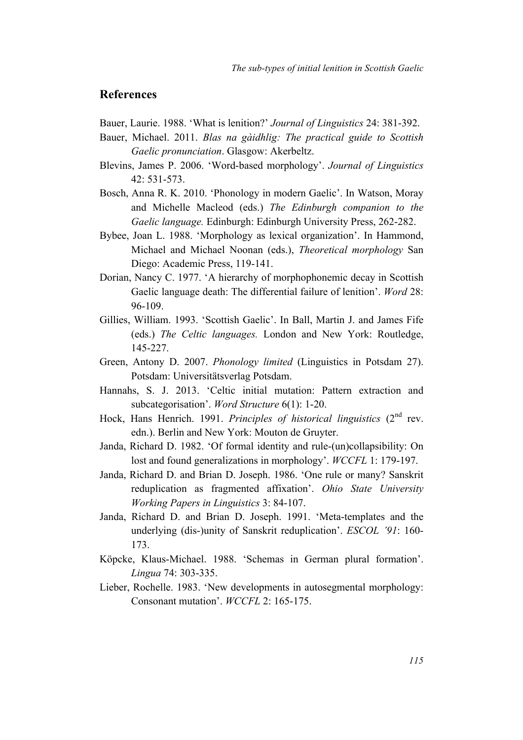### **References**

- Bauer, Laurie. 1988. 'What is lenition?' *Journal of Linguistics* 24: 381-392.
- Bauer, Michael. 2011. *Blas na gàidhlig: The practical guide to Scottish Gaelic pronunciation*. Glasgow: Akerbeltz.
- Blevins, James P. 2006. 'Word-based morphology'. *Journal of Linguistics* 42: 531-573.
- Bosch, Anna R. K. 2010. 'Phonology in modern Gaelic'. In Watson, Moray and Michelle Macleod (eds.) *The Edinburgh companion to the Gaelic language.* Edinburgh: Edinburgh University Press, 262-282.
- Bybee, Joan L. 1988. 'Morphology as lexical organization'. In Hammond, Michael and Michael Noonan (eds.), *Theoretical morphology* San Diego: Academic Press, 119-141.
- Dorian, Nancy C. 1977. 'A hierarchy of morphophonemic decay in Scottish Gaelic language death: The differential failure of lenition'. *Word* 28: 96-109.
- Gillies, William. 1993. 'Scottish Gaelic'. In Ball, Martin J. and James Fife (eds.) *The Celtic languages.* London and New York: Routledge, 145-227.
- Green, Antony D. 2007. *Phonology limited* (Linguistics in Potsdam 27). Potsdam: Universitätsverlag Potsdam.
- Hannahs, S. J. 2013. 'Celtic initial mutation: Pattern extraction and subcategorisation'. *Word Structure* 6(1): 1-20.
- Hock, Hans Henrich. 1991. *Principles of historical linguistics* (2nd rev. edn.). Berlin and New York: Mouton de Gruyter.
- Janda, Richard D. 1982. 'Of formal identity and rule-(un)collapsibility: On lost and found generalizations in morphology'. *WCCFL* 1: 179-197.
- Janda, Richard D. and Brian D. Joseph. 1986. 'One rule or many? Sanskrit reduplication as fragmented affixation'. *Ohio State University Working Papers in Linguistics* 3: 84-107.
- Janda, Richard D. and Brian D. Joseph. 1991. 'Meta-templates and the underlying (dis-)unity of Sanskrit reduplication'. *ESCOL '91*: 160- 173.
- Köpcke, Klaus-Michael. 1988. 'Schemas in German plural formation'. *Lingua* 74: 303-335.
- Lieber, Rochelle. 1983. 'New developments in autosegmental morphology: Consonant mutation'. *WCCFL* 2: 165-175.